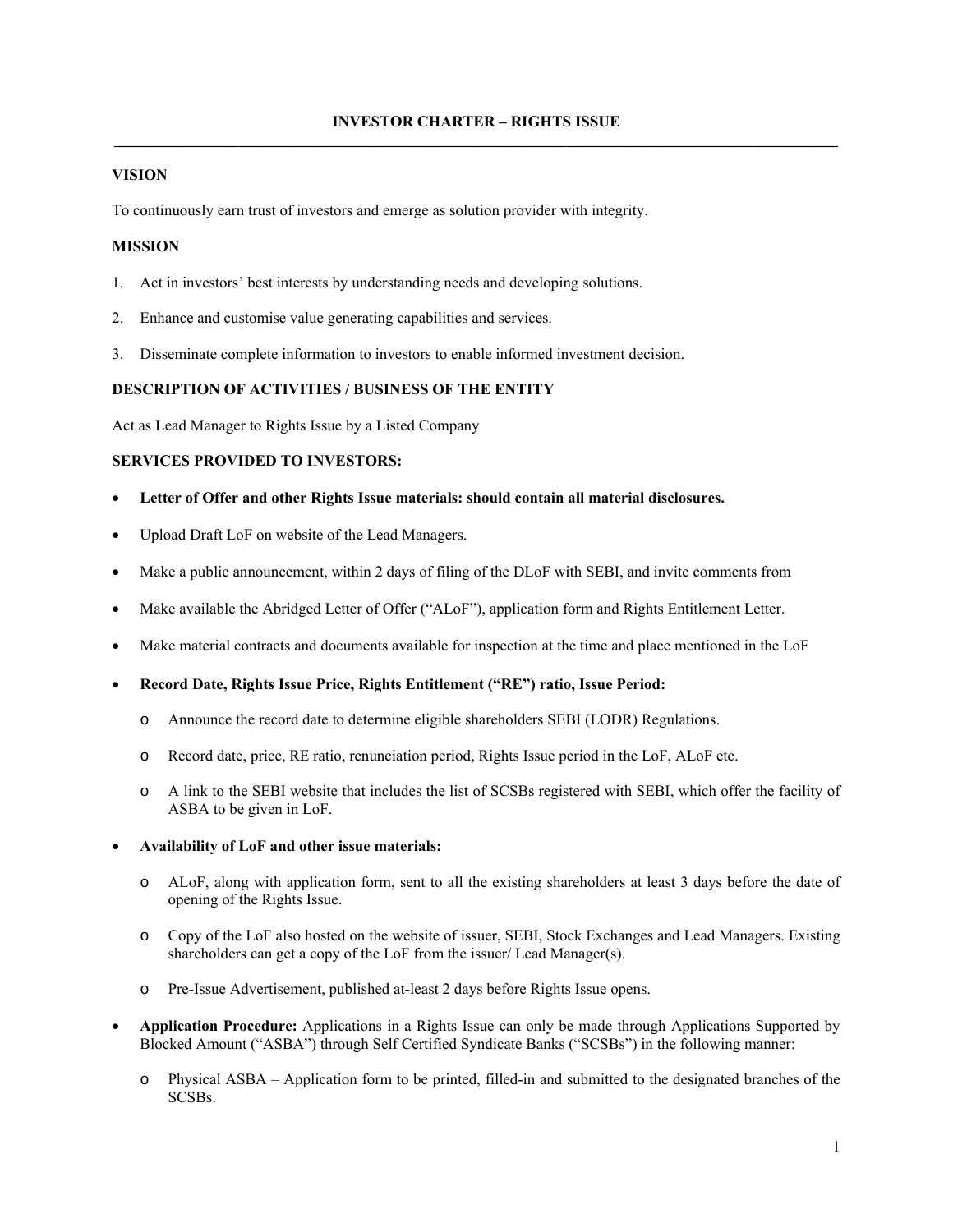# **VISION**

To continuously earn trust of investors and emerge as solution provider with integrity.

# **MISSION**

- 1. Act in investors' best interests by understanding needs and developing solutions.
- 2. Enhance and customise value generating capabilities and services.
- 3. Disseminate complete information to investors to enable informed investment decision.

# **DESCRIPTION OF ACTIVITIES / BUSINESS OF THE ENTITY**

Act as Lead Manager to Rights Issue by a Listed Company

# **SERVICES PROVIDED TO INVESTORS:**

- **Letter of Offer and other Rights Issue materials: should contain all material disclosures.**
- Upload Draft LoF on website of the Lead Managers.
- Make a public announcement, within 2 days of filing of the DLoF with SEBI, and invite comments from
- Make available the Abridged Letter of Offer ("ALoF"), application form and Rights Entitlement Letter.
- Make material contracts and documents available for inspection at the time and place mentioned in the LoF
- **Record Date, Rights Issue Price, Rights Entitlement ("RE") ratio, Issue Period:**
	- o Announce the record date to determine eligible shareholders SEBI (LODR) Regulations.
	- o Record date, price, RE ratio, renunciation period, Rights Issue period in the LoF, ALoF etc.
	- o A link to the SEBI website that includes the list of SCSBs registered with SEBI, which offer the facility of ASBA to be given in LoF.

# **Availability of LoF and other issue materials:**

- o ALoF, along with application form, sent to all the existing shareholders at least 3 days before the date of opening of the Rights Issue.
- o Copy of the LoF also hosted on the website of issuer, SEBI, Stock Exchanges and Lead Managers. Existing shareholders can get a copy of the LoF from the issuer/ Lead Manager(s).
- o Pre-Issue Advertisement, published at-least 2 days before Rights Issue opens.
- **Application Procedure:** Applications in a Rights Issue can only be made through Applications Supported by Blocked Amount ("ASBA") through Self Certified Syndicate Banks ("SCSBs") in the following manner:
	- o Physical ASBA Application form to be printed, filled-in and submitted to the designated branches of the SCSBs.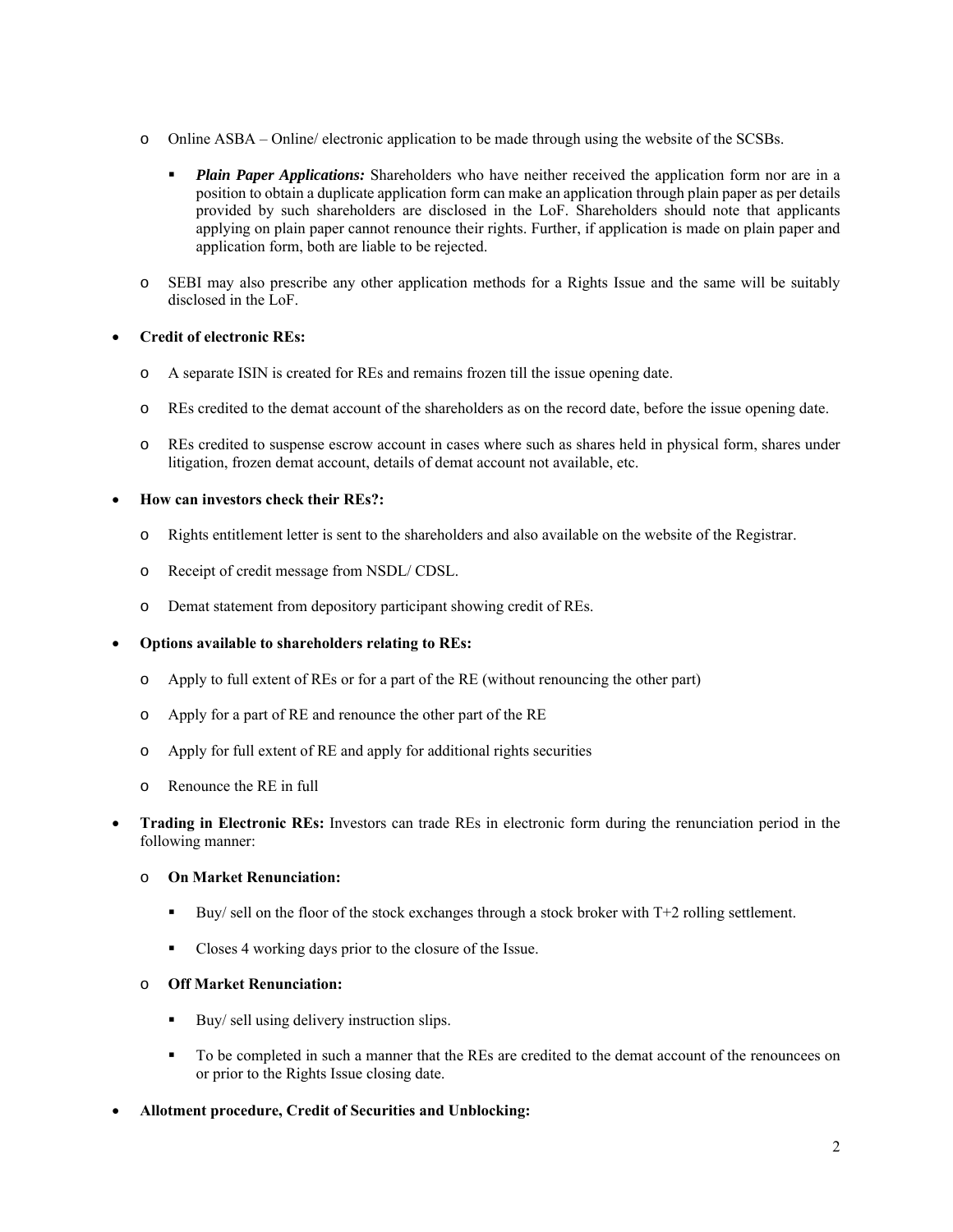- o Online ASBA Online/ electronic application to be made through using the website of the SCSBs.
	- **Plain Paper Applications:** Shareholders who have neither received the application form nor are in a position to obtain a duplicate application form can make an application through plain paper as per details provided by such shareholders are disclosed in the LoF. Shareholders should note that applicants applying on plain paper cannot renounce their rights. Further, if application is made on plain paper and application form, both are liable to be rejected.
- o SEBI may also prescribe any other application methods for a Rights Issue and the same will be suitably disclosed in the LoF.

# **Credit of electronic REs:**

- o A separate ISIN is created for REs and remains frozen till the issue opening date.
- o REs credited to the demat account of the shareholders as on the record date, before the issue opening date.
- o REs credited to suspense escrow account in cases where such as shares held in physical form, shares under litigation, frozen demat account, details of demat account not available, etc.

# **How can investors check their REs?:**

- o Rights entitlement letter is sent to the shareholders and also available on the website of the Registrar.
- o Receipt of credit message from NSDL/ CDSL.
- o Demat statement from depository participant showing credit of REs.

# **Options available to shareholders relating to REs:**

- o Apply to full extent of REs or for a part of the RE (without renouncing the other part)
- o Apply for a part of RE and renounce the other part of the RE
- o Apply for full extent of RE and apply for additional rights securities
- o Renounce the RE in full
- **Trading in Electronic REs:** Investors can trade REs in electronic form during the renunciation period in the following manner:

# o **On Market Renunciation:**

- Buy/ sell on the floor of the stock exchanges through a stock broker with  $T+2$  rolling settlement.
- Closes 4 working days prior to the closure of the Issue.

# o **Off Market Renunciation:**

- $\blacksquare$  Buy/ sell using delivery instruction slips.
- To be completed in such a manner that the REs are credited to the demat account of the renouncees on or prior to the Rights Issue closing date.
- **Allotment procedure, Credit of Securities and Unblocking:**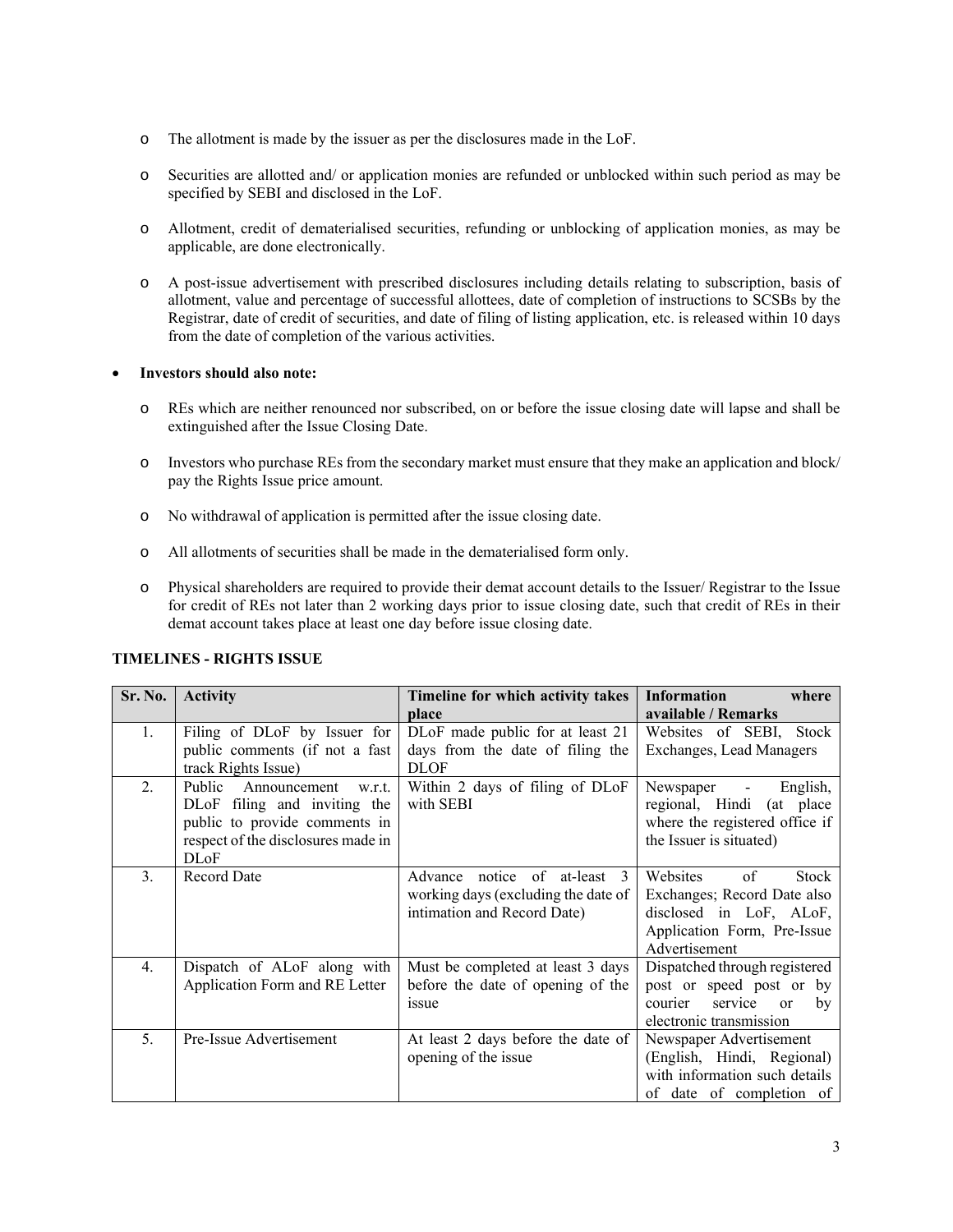- o The allotment is made by the issuer as per the disclosures made in the LoF.
- o Securities are allotted and/ or application monies are refunded or unblocked within such period as may be specified by SEBI and disclosed in the LoF.
- o Allotment, credit of dematerialised securities, refunding or unblocking of application monies, as may be applicable, are done electronically.
- o A post-issue advertisement with prescribed disclosures including details relating to subscription, basis of allotment, value and percentage of successful allottees, date of completion of instructions to SCSBs by the Registrar, date of credit of securities, and date of filing of listing application, etc. is released within 10 days from the date of completion of the various activities.

### **Investors should also note:**

- o REs which are neither renounced nor subscribed, on or before the issue closing date will lapse and shall be extinguished after the Issue Closing Date.
- o Investors who purchase REs from the secondary market must ensure that they make an application and block/ pay the Rights Issue price amount.
- o No withdrawal of application is permitted after the issue closing date.
- o All allotments of securities shall be made in the dematerialised form only.
- o Physical shareholders are required to provide their demat account details to the Issuer/ Registrar to the Issue for credit of REs not later than 2 working days prior to issue closing date, such that credit of REs in their demat account takes place at least one day before issue closing date.

| Sr. No.          | <b>Activity</b>                    | Timeline for which activity takes   | <b>Information</b><br>where    |  |
|------------------|------------------------------------|-------------------------------------|--------------------------------|--|
|                  |                                    | place                               | available / Remarks            |  |
| 1.               | Filing of DLoF by Issuer for       | DLoF made public for at least 21    | Websites of SEBI, Stock        |  |
|                  | public comments (if not a fast     | days from the date of filing the    | Exchanges, Lead Managers       |  |
|                  | track Rights Issue)                | <b>DLOF</b>                         |                                |  |
| $\overline{2}$ . | Public<br>Announcement<br>w.r.t.   | Within 2 days of filing of DLoF     | English,<br>Newspaper -        |  |
|                  | DLoF filing and inviting the       | with SEBI                           | regional, Hindi (at place      |  |
|                  | public to provide comments in      |                                     | where the registered office if |  |
|                  | respect of the disclosures made in |                                     | the Issuer is situated)        |  |
|                  | <b>DLoF</b>                        |                                     |                                |  |
| 3.               | <b>Record Date</b>                 | Advance<br>notice of at-least 3     | of<br>Websites<br><b>Stock</b> |  |
|                  |                                    | working days (excluding the date of | Exchanges; Record Date also    |  |
|                  |                                    | intimation and Record Date)         | disclosed in LoF, ALoF,        |  |
|                  |                                    |                                     | Application Form, Pre-Issue    |  |
|                  |                                    |                                     | Advertisement                  |  |
| $\overline{4}$ . | Dispatch of ALoF along with        | Must be completed at least 3 days   | Dispatched through registered  |  |
|                  | Application Form and RE Letter     | before the date of opening of the   | post or speed post or by       |  |
|                  |                                    | issue                               | service<br>courier<br>by<br>or |  |
|                  |                                    |                                     | electronic transmission        |  |
| 5.               | Pre-Issue Advertisement            | At least 2 days before the date of  | Newspaper Advertisement        |  |
|                  |                                    | opening of the issue                | (English, Hindi, Regional)     |  |
|                  |                                    |                                     | with information such details  |  |
|                  |                                    |                                     | of date of completion of       |  |

# **TIMELINES - RIGHTS ISSUE**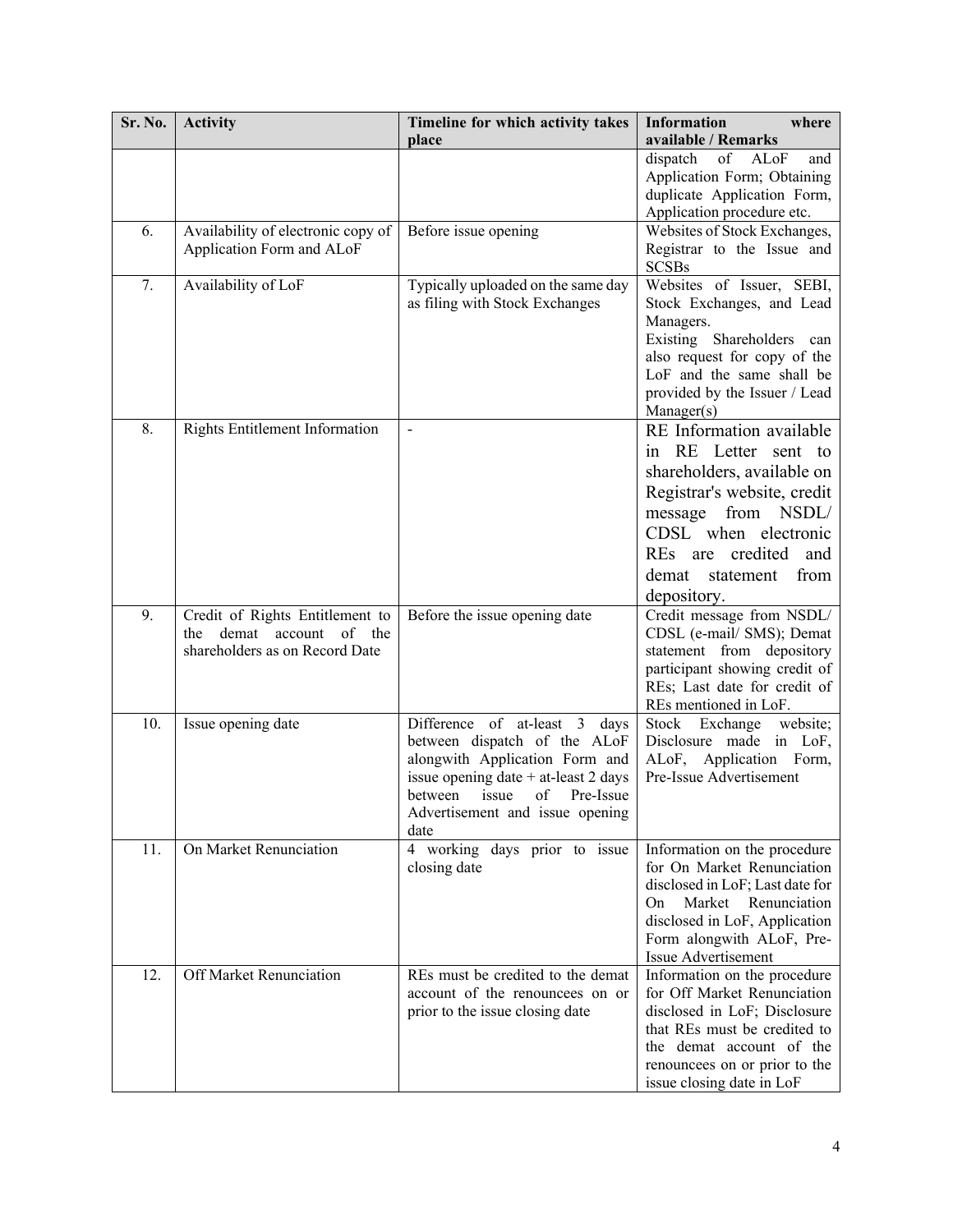| Sr. No. | <b>Activity</b>                    | Timeline for which activity takes                                | <b>Information</b><br>where                                  |  |
|---------|------------------------------------|------------------------------------------------------------------|--------------------------------------------------------------|--|
|         |                                    | place                                                            | available / Remarks                                          |  |
|         |                                    |                                                                  | dispatch<br>ALoF<br>of<br>and                                |  |
|         |                                    |                                                                  | Application Form; Obtaining                                  |  |
|         |                                    |                                                                  | duplicate Application Form,                                  |  |
|         |                                    |                                                                  | Application procedure etc.                                   |  |
| 6.      | Availability of electronic copy of | Before issue opening                                             | Websites of Stock Exchanges,<br>Registrar to the Issue and   |  |
|         | Application Form and ALoF          |                                                                  | <b>SCSBs</b>                                                 |  |
| 7.      | Availability of LoF                | Typically uploaded on the same day                               | Websites of Issuer, SEBI,                                    |  |
|         |                                    | as filing with Stock Exchanges                                   | Stock Exchanges, and Lead                                    |  |
|         |                                    |                                                                  | Managers.<br>Existing Shareholders can                       |  |
|         |                                    |                                                                  | also request for copy of the                                 |  |
|         |                                    |                                                                  | LoF and the same shall be                                    |  |
|         |                                    |                                                                  | provided by the Issuer / Lead                                |  |
|         |                                    |                                                                  | Manager(s)                                                   |  |
| 8.      | Rights Entitlement Information     | $\overline{a}$                                                   | RE Information available                                     |  |
|         |                                    |                                                                  | Letter<br>RE<br>sent to<br>1n                                |  |
|         |                                    |                                                                  | shareholders, available on                                   |  |
|         |                                    |                                                                  | Registrar's website, credit                                  |  |
|         |                                    |                                                                  | from NSDL/<br>message                                        |  |
|         |                                    |                                                                  | CDSL when electronic                                         |  |
|         |                                    |                                                                  | credited<br>REs<br>and<br>are                                |  |
|         |                                    |                                                                  | demat<br>statement<br>from                                   |  |
|         |                                    |                                                                  | depository.                                                  |  |
| 9.      | Credit of Rights Entitlement to    | Before the issue opening date                                    | Credit message from NSDL/                                    |  |
|         | demat<br>account of<br>the<br>the  |                                                                  | CDSL (e-mail/ SMS); Demat                                    |  |
|         | shareholders as on Record Date     |                                                                  | statement from depository                                    |  |
|         |                                    |                                                                  | participant showing credit of                                |  |
|         |                                    |                                                                  | REs; Last date for credit of                                 |  |
|         |                                    |                                                                  | REs mentioned in LoF.                                        |  |
| 10.     | Issue opening date                 | Difference of at-least 3<br>days<br>between dispatch of the ALoF | Stock Exchange website;<br>Disclosure made in LoF,           |  |
|         |                                    | alongwith Application Form and                                   | ALoF, Application Form,                                      |  |
|         |                                    | issue opening date + at-least 2 days                             | Pre-Issue Advertisement                                      |  |
|         |                                    | between<br>issue<br>of<br>Pre-Issue                              |                                                              |  |
|         |                                    | Advertisement and issue opening                                  |                                                              |  |
|         |                                    | date                                                             |                                                              |  |
| 11.     | On Market Renunciation             | 4 working days prior to issue                                    | Information on the procedure                                 |  |
|         |                                    | closing date                                                     | for On Market Renunciation                                   |  |
|         |                                    |                                                                  | disclosed in LoF; Last date for<br>Market Renunciation<br>On |  |
|         |                                    |                                                                  | disclosed in LoF, Application                                |  |
|         |                                    |                                                                  | Form alongwith ALoF, Pre-                                    |  |
|         |                                    |                                                                  | Issue Advertisement                                          |  |
| 12.     | Off Market Renunciation            | REs must be credited to the demat                                | Information on the procedure                                 |  |
|         |                                    | account of the renouncees on or                                  | for Off Market Renunciation                                  |  |
|         |                                    | prior to the issue closing date                                  | disclosed in LoF; Disclosure                                 |  |
|         |                                    |                                                                  | that REs must be credited to                                 |  |
|         |                                    |                                                                  | the demat account of the                                     |  |
|         |                                    |                                                                  | renouncees on or prior to the<br>issue closing date in LoF   |  |
|         |                                    |                                                                  |                                                              |  |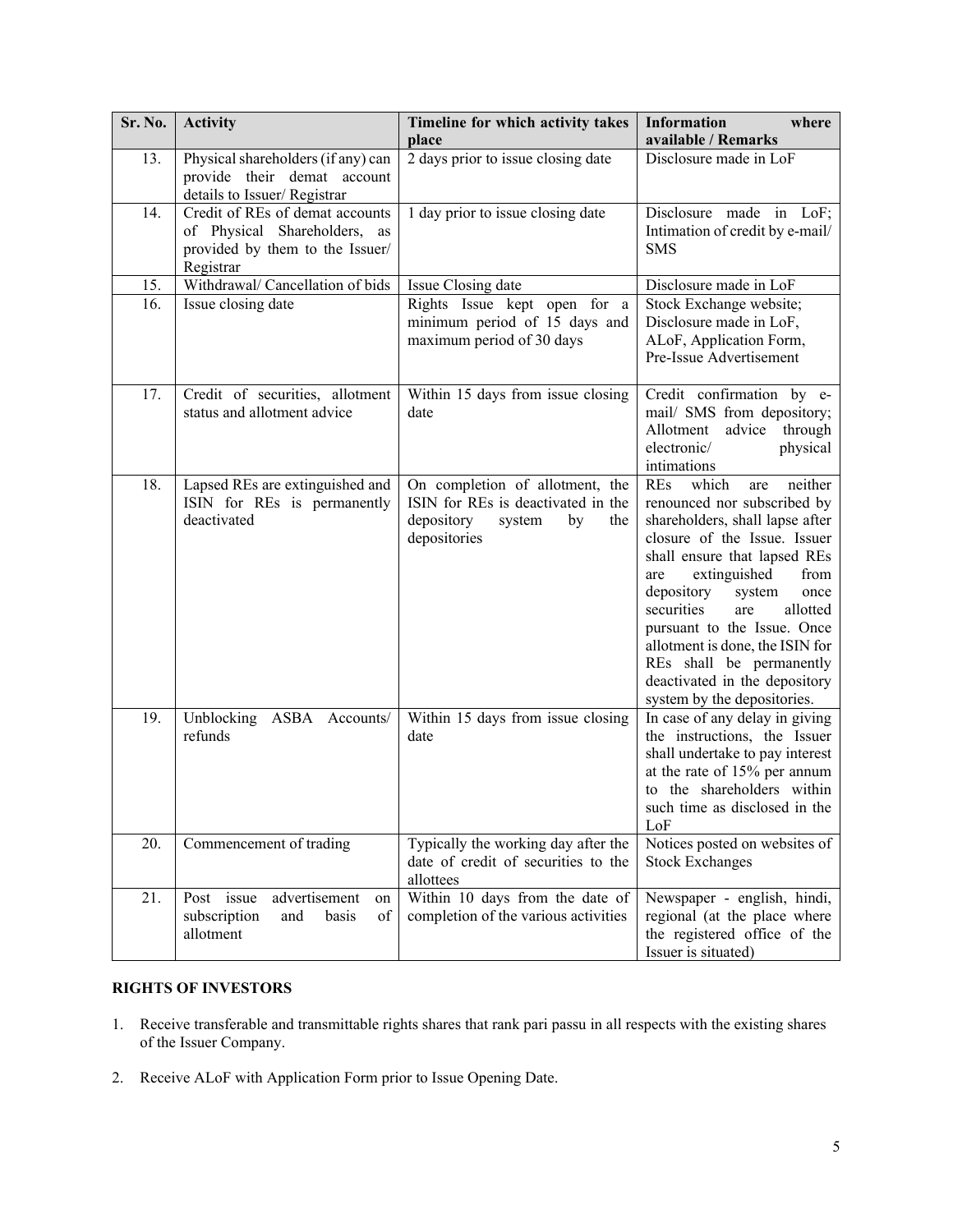| Sr. No. | <b>Activity</b>                                                                                                 | Timeline for which activity takes<br>place                                                                                 | <b>Information</b><br>where<br>available / Remarks                                                                                                                                                                                                                                                                                                                                                                                    |  |
|---------|-----------------------------------------------------------------------------------------------------------------|----------------------------------------------------------------------------------------------------------------------------|---------------------------------------------------------------------------------------------------------------------------------------------------------------------------------------------------------------------------------------------------------------------------------------------------------------------------------------------------------------------------------------------------------------------------------------|--|
| 13.     | Physical shareholders (if any) can<br>provide their demat account<br>details to Issuer/Registrar                | 2 days prior to issue closing date                                                                                         | Disclosure made in LoF                                                                                                                                                                                                                                                                                                                                                                                                                |  |
| 14.     | Credit of REs of demat accounts<br>of Physical Shareholders, as<br>provided by them to the Issuer/<br>Registrar | 1 day prior to issue closing date                                                                                          | Disclosure made in LoF;<br>Intimation of credit by e-mail/<br><b>SMS</b>                                                                                                                                                                                                                                                                                                                                                              |  |
| 15.     | Withdrawal/ Cancellation of bids                                                                                | Issue Closing date                                                                                                         | Disclosure made in LoF                                                                                                                                                                                                                                                                                                                                                                                                                |  |
| 16.     | Issue closing date                                                                                              | Rights Issue kept open for a<br>minimum period of 15 days and<br>maximum period of 30 days                                 | Stock Exchange website;<br>Disclosure made in LoF,<br>ALoF, Application Form,<br>Pre-Issue Advertisement                                                                                                                                                                                                                                                                                                                              |  |
| 17.     | Credit of securities, allotment<br>status and allotment advice                                                  | Within 15 days from issue closing<br>date                                                                                  | Credit confirmation by e-<br>mail/ SMS from depository;<br>Allotment<br>through<br>advice<br>electronic/<br>physical<br>intimations                                                                                                                                                                                                                                                                                                   |  |
| 18.     | Lapsed REs are extinguished and<br>ISIN for REs is permanently<br>deactivated                                   | On completion of allotment, the<br>ISIN for REs is deactivated in the<br>depository<br>system<br>by<br>the<br>depositories | which<br>neither<br><b>REs</b><br>are<br>renounced nor subscribed by<br>shareholders, shall lapse after<br>closure of the Issue. Issuer<br>shall ensure that lapsed REs<br>extinguished<br>from<br>are<br>depository<br>system<br>once<br>securities<br>allotted<br>are<br>pursuant to the Issue. Once<br>allotment is done, the ISIN for<br>REs shall be permanently<br>deactivated in the depository<br>system by the depositories. |  |
| 19.     | Unblocking<br>ASBA Accounts/<br>refunds                                                                         | Within 15 days from issue closing<br>date                                                                                  | In case of any delay in giving<br>the instructions, the Issuer<br>shall undertake to pay interest<br>at the rate of 15% per annum<br>to the shareholders within<br>such time as disclosed in the<br>LoF                                                                                                                                                                                                                               |  |
| 20.     | Commencement of trading                                                                                         | Typically the working day after the<br>date of credit of securities to the<br>allottees                                    | Notices posted on websites of<br><b>Stock Exchanges</b>                                                                                                                                                                                                                                                                                                                                                                               |  |
| 21.     | Post issue<br>advertisement<br>on<br>subscription<br>basis<br>and<br>of<br>allotment                            | Within 10 days from the date of<br>completion of the various activities                                                    | Newspaper - english, hindi,<br>regional (at the place where<br>the registered office of the<br>Issuer is situated)                                                                                                                                                                                                                                                                                                                    |  |

# **RIGHTS OF INVESTORS**

- 1. Receive transferable and transmittable rights shares that rank pari passu in all respects with the existing shares of the Issuer Company.
- 2. Receive ALoF with Application Form prior to Issue Opening Date.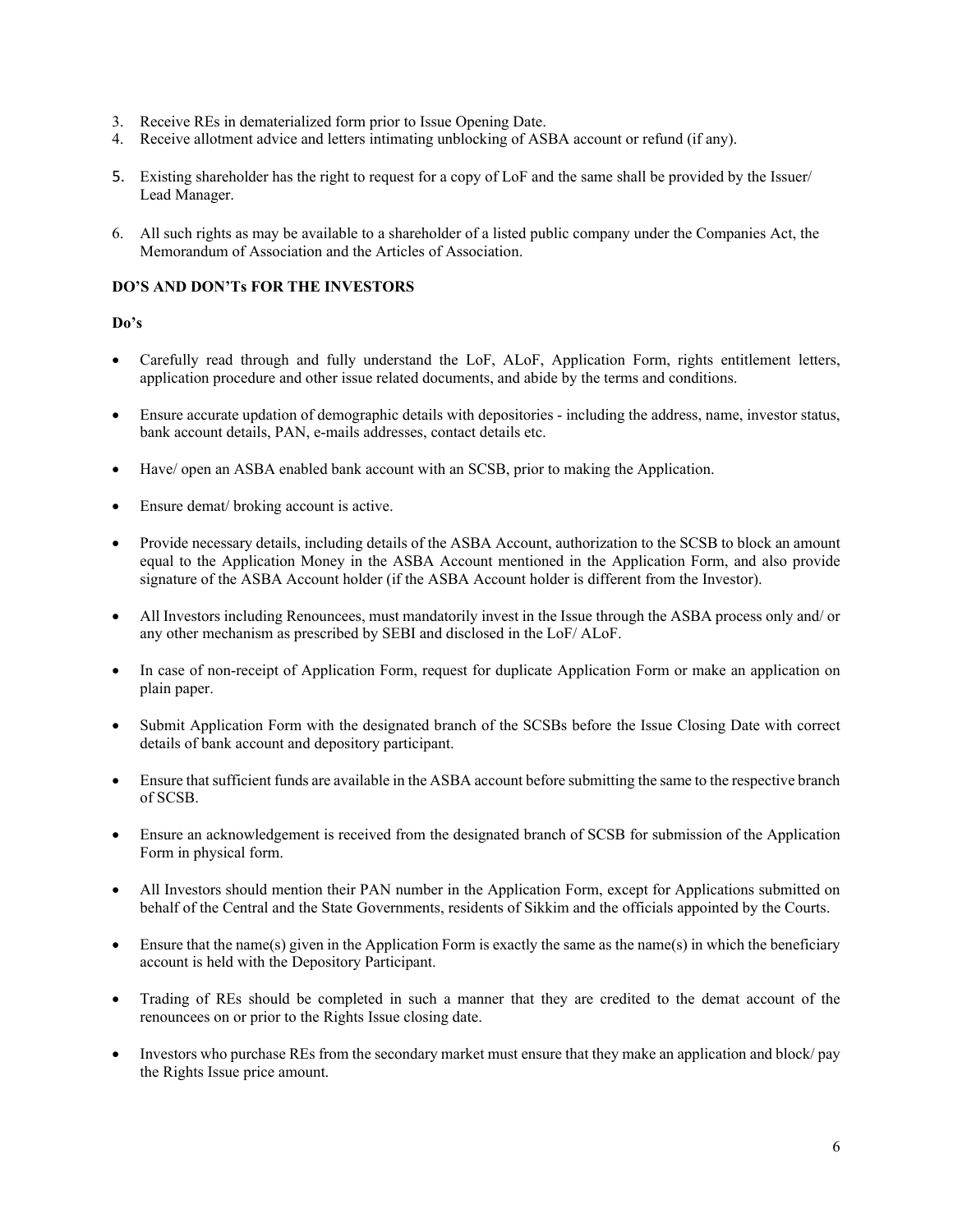- 3. Receive REs in dematerialized form prior to Issue Opening Date.
- 4. Receive allotment advice and letters intimating unblocking of ASBA account or refund (if any).
- 5. Existing shareholder has the right to request for a copy of LoF and the same shall be provided by the Issuer/ Lead Manager.
- 6. All such rights as may be available to a shareholder of a listed public company under the Companies Act, the Memorandum of Association and the Articles of Association.

### **DO'S AND DON'Ts FOR THE INVESTORS**

### **Do's**

- Carefully read through and fully understand the LoF, ALoF, Application Form, rights entitlement letters, application procedure and other issue related documents, and abide by the terms and conditions.
- Ensure accurate updation of demographic details with depositories including the address, name, investor status, bank account details, PAN, e-mails addresses, contact details etc.
- Have/ open an ASBA enabled bank account with an SCSB, prior to making the Application.
- Ensure demat/ broking account is active.
- Provide necessary details, including details of the ASBA Account, authorization to the SCSB to block an amount equal to the Application Money in the ASBA Account mentioned in the Application Form, and also provide signature of the ASBA Account holder (if the ASBA Account holder is different from the Investor).
- All Investors including Renouncees, must mandatorily invest in the Issue through the ASBA process only and/ or any other mechanism as prescribed by SEBI and disclosed in the LoF/ ALoF.
- In case of non-receipt of Application Form, request for duplicate Application Form or make an application on plain paper.
- Submit Application Form with the designated branch of the SCSBs before the Issue Closing Date with correct details of bank account and depository participant.
- Ensure that sufficient funds are available in the ASBA account before submitting the same to the respective branch of SCSB.
- Ensure an acknowledgement is received from the designated branch of SCSB for submission of the Application Form in physical form.
- All Investors should mention their PAN number in the Application Form, except for Applications submitted on behalf of the Central and the State Governments, residents of Sikkim and the officials appointed by the Courts.
- Ensure that the name(s) given in the Application Form is exactly the same as the name(s) in which the beneficiary account is held with the Depository Participant.
- Trading of REs should be completed in such a manner that they are credited to the demat account of the renouncees on or prior to the Rights Issue closing date.
- Investors who purchase REs from the secondary market must ensure that they make an application and block/ pay the Rights Issue price amount.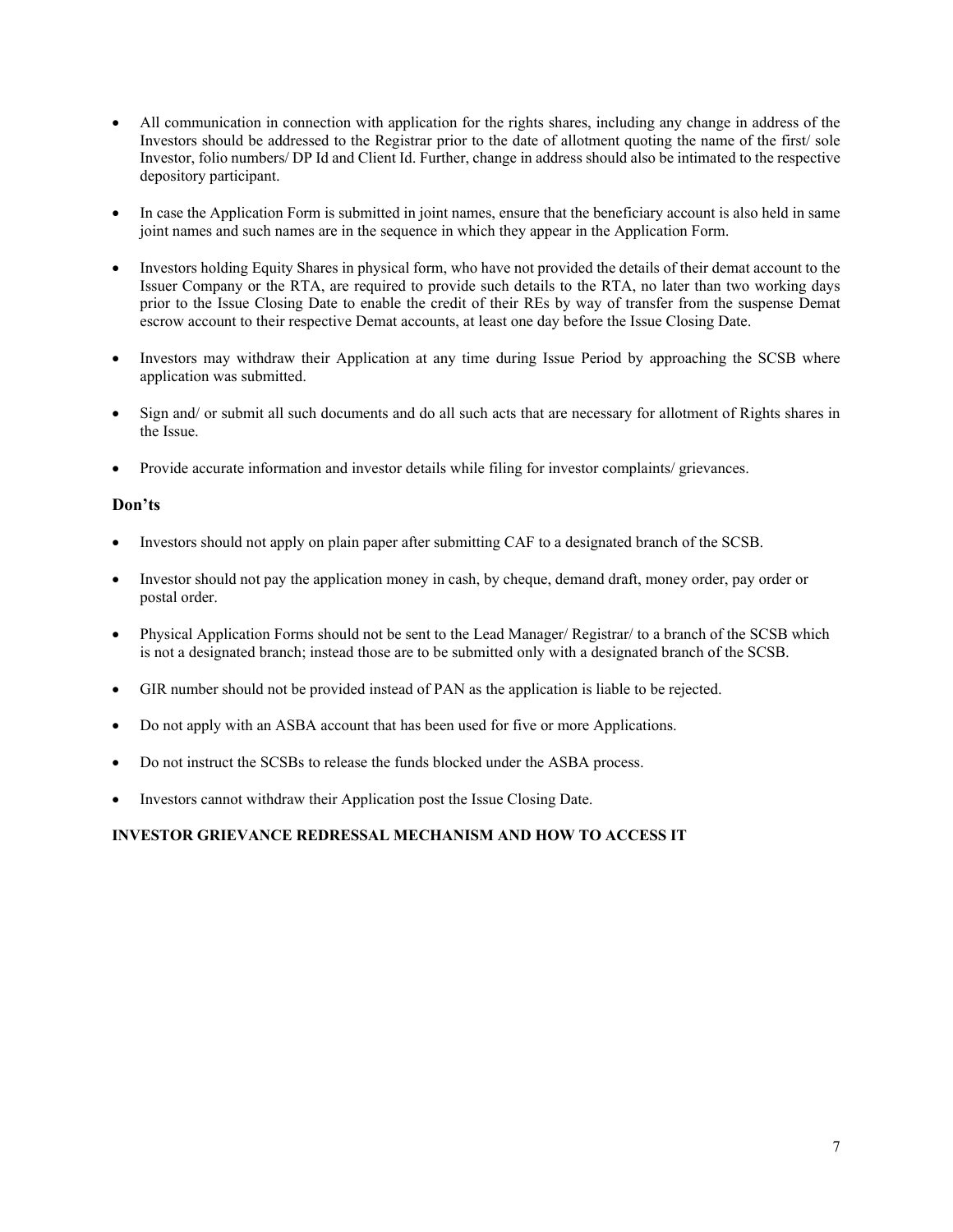- All communication in connection with application for the rights shares, including any change in address of the Investors should be addressed to the Registrar prior to the date of allotment quoting the name of the first/ sole Investor, folio numbers/ DP Id and Client Id. Further, change in address should also be intimated to the respective depository participant.
- In case the Application Form is submitted in joint names, ensure that the beneficiary account is also held in same joint names and such names are in the sequence in which they appear in the Application Form.
- Investors holding Equity Shares in physical form, who have not provided the details of their demat account to the Issuer Company or the RTA, are required to provide such details to the RTA, no later than two working days prior to the Issue Closing Date to enable the credit of their REs by way of transfer from the suspense Demat escrow account to their respective Demat accounts, at least one day before the Issue Closing Date.
- Investors may withdraw their Application at any time during Issue Period by approaching the SCSB where application was submitted.
- Sign and/ or submit all such documents and do all such acts that are necessary for allotment of Rights shares in the Issue.
- Provide accurate information and investor details while filing for investor complaints/ grievances.

# **Don'ts**

- Investors should not apply on plain paper after submitting CAF to a designated branch of the SCSB.
- Investor should not pay the application money in cash, by cheque, demand draft, money order, pay order or postal order.
- Physical Application Forms should not be sent to the Lead Manager/ Registrar/ to a branch of the SCSB which is not a designated branch; instead those are to be submitted only with a designated branch of the SCSB.
- GIR number should not be provided instead of PAN as the application is liable to be rejected.
- Do not apply with an ASBA account that has been used for five or more Applications.
- Do not instruct the SCSBs to release the funds blocked under the ASBA process.
- Investors cannot withdraw their Application post the Issue Closing Date.

# **INVESTOR GRIEVANCE REDRESSAL MECHANISM AND HOW TO ACCESS IT**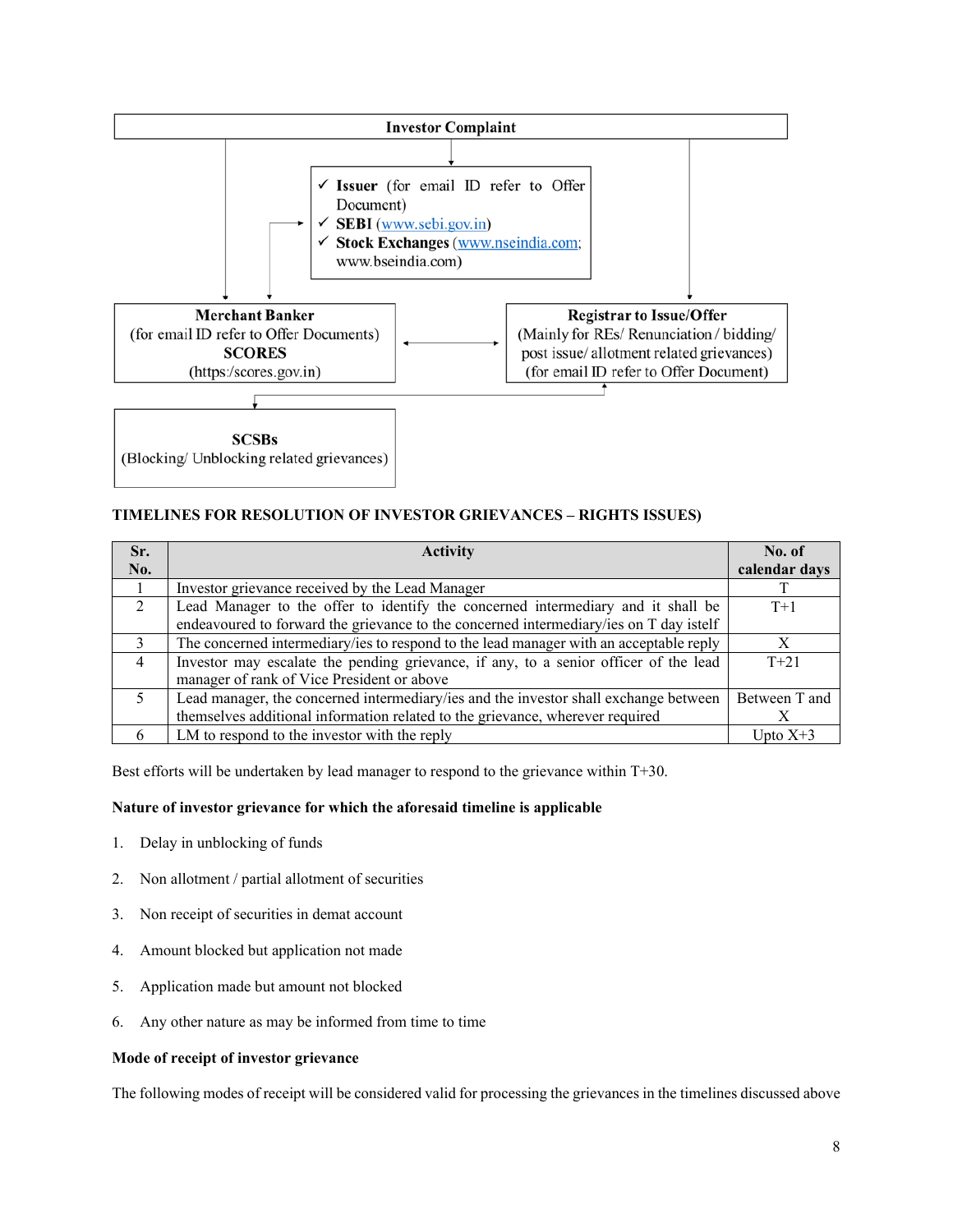

# **TIMELINES FOR RESOLUTION OF INVESTOR GRIEVANCES – RIGHTS ISSUES)**

| Sr.            | <b>Activity</b>                                                                        | No. of        |
|----------------|----------------------------------------------------------------------------------------|---------------|
| No.            |                                                                                        | calendar days |
|                | Investor grievance received by the Lead Manager                                        |               |
| $\overline{2}$ | Lead Manager to the offer to identify the concerned intermediary and it shall be       | $T+1$         |
|                | endeavoured to forward the grievance to the concerned intermediary/ies on T day istelf |               |
| $\mathcal{E}$  | The concerned intermediary/ies to respond to the lead manager with an acceptable reply |               |
| $\overline{4}$ | Investor may escalate the pending grievance, if any, to a senior officer of the lead   | $T + 21$      |
|                | manager of rank of Vice President or above                                             |               |
| .5             | Lead manager, the concerned intermediary/ies and the investor shall exchange between   | Between T and |
|                | themselves additional information related to the grievance, wherever required          |               |
| 6              | LM to respond to the investor with the reply                                           | Upto $X+3$    |

Best efforts will be undertaken by lead manager to respond to the grievance within T+30.

# **Nature of investor grievance for which the aforesaid timeline is applicable**

- 1. Delay in unblocking of funds
- 2. Non allotment / partial allotment of securities
- 3. Non receipt of securities in demat account
- 4. Amount blocked but application not made
- 5. Application made but amount not blocked
- 6. Any other nature as may be informed from time to time

### **Mode of receipt of investor grievance**

The following modes of receipt will be considered valid for processing the grievances in the timelines discussed above